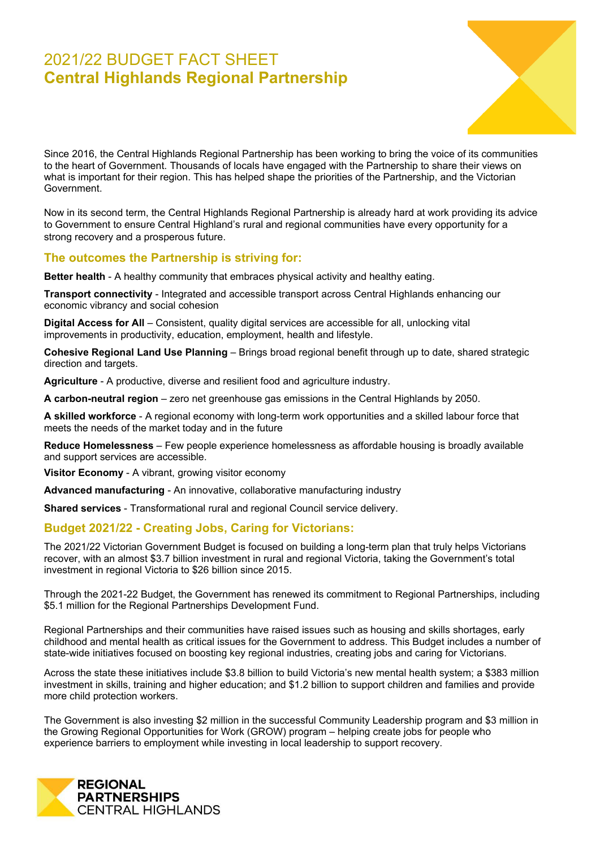# 2021/22 BUDGET FACT SHEET **Central Highlands Regional Partnership**



Since 2016, the Central Highlands Regional Partnership has been working to bring the voice of its communities to the heart of Government. Thousands of locals have engaged with the Partnership to share their views on what is important for their region. This has helped shape the priorities of the Partnership, and the Victorian Government.

Now in its second term, the Central Highlands Regional Partnership is already hard at work providing its advice to Government to ensure Central Highland's rural and regional communities have every opportunity for a strong recovery and a prosperous future.

#### **The outcomes the Partnership is striving for:**

**Better health** - A healthy community that embraces physical activity and healthy eating.

**Transport connectivity** - Integrated and accessible transport across Central Highlands enhancing our economic vibrancy and social cohesion

**Digital Access for All** – Consistent, quality digital services are accessible for all, unlocking vital improvements in productivity, education, employment, health and lifestyle.

**Cohesive Regional Land Use Planning** – Brings broad regional benefit through up to date, shared strategic direction and targets.

**Agriculture** - A productive, diverse and resilient food and agriculture industry.

**A carbon-neutral region** – zero net greenhouse gas emissions in the Central Highlands by 2050.

**A skilled workforce** - A regional economy with long-term work opportunities and a skilled labour force that meets the needs of the market today and in the future

**Reduce Homelessness** – Few people experience homelessness as affordable housing is broadly available and support services are accessible.

**Visitor Economy** - A vibrant, growing visitor economy

**Advanced manufacturing** - An innovative, collaborative manufacturing industry

**Shared services** - Transformational rural and regional Council service delivery.

### **Budget 2021/22 - Creating Jobs, Caring for Victorians:**

The 2021/22 Victorian Government Budget is focused on building a long-term plan that truly helps Victorians recover, with an almost \$3.7 billion investment in rural and regional Victoria, taking the Government's total investment in regional Victoria to \$26 billion since 2015.

Through the 2021-22 Budget, the Government has renewed its commitment to Regional Partnerships, including \$5.1 million for the Regional Partnerships Development Fund.

Regional Partnerships and their communities have raised issues such as housing and skills shortages, early childhood and mental health as critical issues for the Government to address. This Budget includes a number of state-wide initiatives focused on boosting key regional industries, creating jobs and caring for Victorians.

Across the state these initiatives include \$3.8 billion to build Victoria's new mental health system; a \$383 million investment in skills, training and higher education; and \$1.2 billion to support children and families and provide more child protection workers.

The Government is also investing \$2 million in the successful Community Leadership program and \$3 million in the Growing Regional Opportunities for Work (GROW) program – helping create jobs for people who experience barriers to employment while investing in local leadership to support recovery.

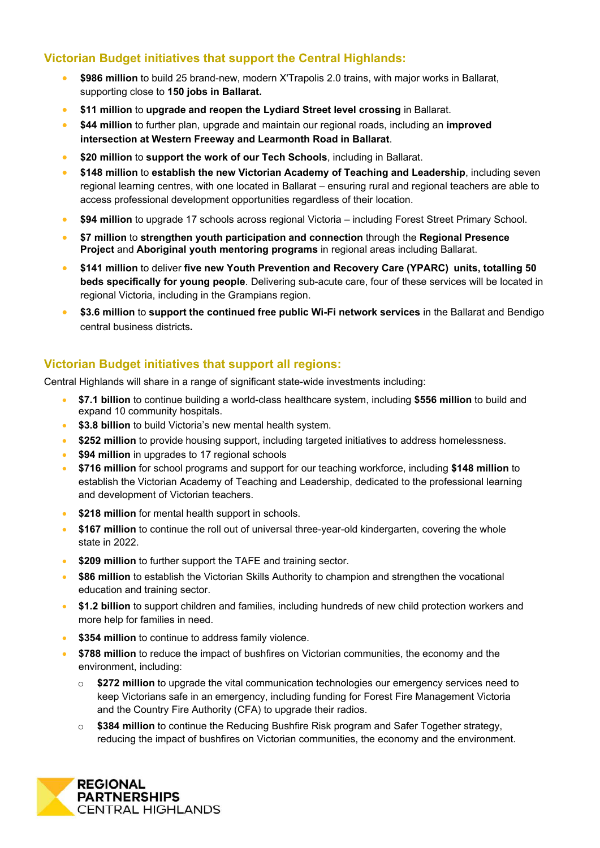## **Victorian Budget initiatives that support the Central Highlands:**

- **\$986 million** to build 25 brand-new, modern X'Trapolis 2.0 trains, with major works in Ballarat, supporting close to **150 jobs in Ballarat.**
- **\$11 million** to **upgrade and reopen the Lydiard Street level crossing** in Ballarat.
- **\$44 million** to further plan, upgrade and maintain our regional roads, including an **improved intersection at Western Freeway and Learmonth Road in Ballarat**.
- **\$20 million** to **support the work of our Tech Schools**, including in Ballarat.
- **\$148 million** to **establish the new Victorian Academy of Teaching and Leadership**, including seven regional learning centres, with one located in Ballarat – ensuring rural and regional teachers are able to access professional development opportunities regardless of their location.
- **\$94 million** to upgrade 17 schools across regional Victoria including Forest Street Primary School.
- **\$7 million** to **strengthen youth participation and connection** through the **Regional Presence Project** and **Aboriginal youth mentoring programs** in regional areas including Ballarat.
- **\$141 million** to deliver **five new Youth Prevention and Recovery Care (YPARC) units, totalling 50 beds specifically for young people**. Delivering sub-acute care, four of these services will be located in regional Victoria, including in the Grampians region.
- **\$3.6 million** to **support the continued free public Wi-Fi network services** in the Ballarat and Bendigo central business districts**.**

### **Victorian Budget initiatives that support all regions:**

Central Highlands will share in a range of significant state-wide investments including:

- **\$7.1 billion** to continue building a world-class healthcare system, including **\$556 million** to build and expand 10 community hospitals.
- **\$3.8 billion** to build Victoria's new mental health system.
- **\$252 million** to provide housing support, including targeted initiatives to address homelessness.
- **\$94 million** in upgrades to 17 regional schools
- **\$716 million** for school programs and support for our teaching workforce, including **\$148 million** to establish the Victorian Academy of Teaching and Leadership, dedicated to the professional learning and development of Victorian teachers.
- **\$218 million** for mental health support in schools.
- **\$167 million** to continue the roll out of universal three-year-old kindergarten, covering the whole state in 2022.
- **\$209 million** to further support the TAFE and training sector.
- **\$86 million** to establish the Victorian Skills Authority to champion and strengthen the vocational education and training sector.
- **\$1.2 billion** to support children and families, including hundreds of new child protection workers and more help for families in need.
- **\$354 million** to continue to address family violence.
- **\$788 million** to reduce the impact of bushfires on Victorian communities, the economy and the environment, including:
	- o **\$272 million** to upgrade the vital communication technologies our emergency services need to keep Victorians safe in an emergency, including funding for Forest Fire Management Victoria and the Country Fire Authority (CFA) to upgrade their radios.
	- o **\$384 million** to continue the Reducing Bushfire Risk program and Safer Together strategy, reducing the impact of bushfires on Victorian communities, the economy and the environment.